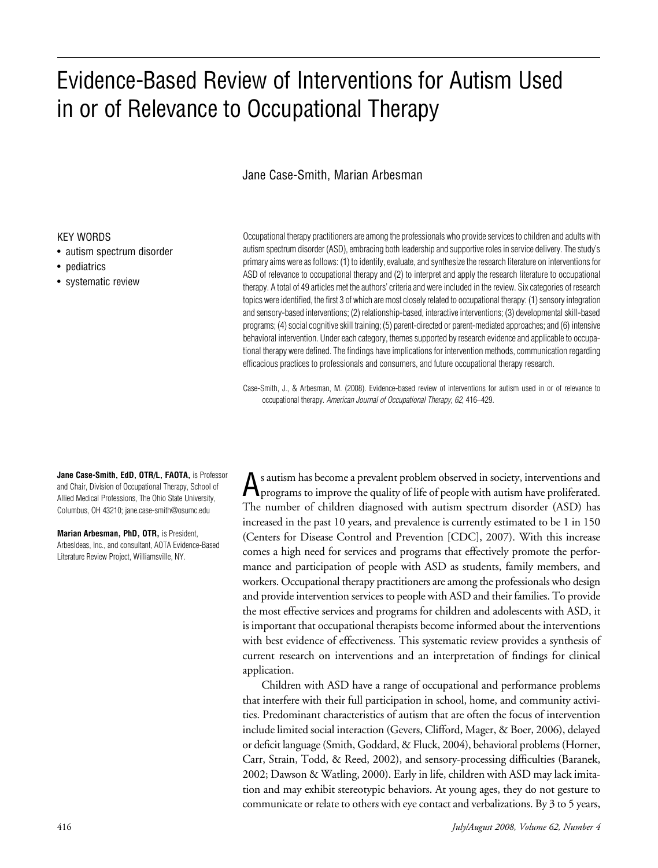# Evidence-Based Review of Interventions for Autism Used in or of Relevance to Occupational Therapy

## Jane Case-Smith, Marian Arbesman

#### KEY WORDS

- autism spectrum disorder
- pediatrics
- systematic review

Occupational therapy practitioners are among the professionals who provide services to children and adults with autism spectrum disorder (ASD), embracing both leadership and supportive roles in service delivery. The study's primary aims were as follows: (1) to identify, evaluate, and synthesize the research literature on interventions for ASD of relevance to occupational therapy and (2) to interpret and apply the research literature to occupational therapy. A total of 49 articles met the authors' criteria and were included in the review. Six categories of research topics were identified, the first 3 of which are most closely related to occupational therapy: (1) sensory integration and sensory-based interventions; (2) relationship-based, interactive interventions; (3) developmental skill-based programs; (4) social cognitive skill training; (5) parent-directed or parent-mediated approaches; and (6) intensive behavioral intervention. Under each category, themes supported by research evidence and applicable to occupational therapy were defined. The findings have implications for intervention methods, communication regarding efficacious practices to professionals and consumers, and future occupational therapy research.

Case-Smith, J., & Arbesman, M. (2008). Evidence-based review of interventions for autism used in or of relevance to occupational therapy. American Journal of Occupational Therapy, 62, 416–429.

**Jane Case-Smith, EdD, OTR/L, FAOTA,** is Professor and Chair, Division of Occupational Therapy, School of Allied Medical Professions, The Ohio State University, Columbus, OH 43210; jane.case-smith@osumc.edu

**Marian Arbesman, PhD, OTR,** is President, ArbesIdeas, Inc., and consultant, AOTA Evidence-Based Literature Review Project, Williamsville, NY.

A<sup>s</sup> autism has become <sup>a</sup> prevalent problem observed in society, interventions and programs to improvethe quality of life of people with autism have proliferated. The number of children diagnosed with autism spectrum disorder (ASD) has increased in the past 10 years, and prevalence is currently estimated to be 1 in 150 (Centers for Disease Control and Prevention [CDC], 2007). With this increase comes a high need for services and programs that effectively promote the performance and participation of people with ASD as students, family members, and workers. Occupational therapy practitioners are among the professionals who design and provide intervention services to people with ASD and their families. To provide the most effective services and programs for children and adolescents with ASD, it is important that occupational therapists become informed about the interventions with best evidence of effectiveness. This systematic review provides a synthesis of current research on interventions and an interpretation of findings for clinical application.

Children with ASD have a range of occupational and performance problems that interfere with their full participation in school, home, and community activities. Predominant characteristics of autism that are often the focus of intervention include limited social interaction (Gevers, Clifford, Mager, & Boer, 2006), delayed or deficit language(Smith, Goddard, & Fluck, 2004), behavioral problems (Horner, Carr, Strain, Todd, & Reed, 2002), and sensory-processing difficulties (Baranek, 2002; Dawson & Watling, 2000). Early in life, children with ASD may lack imitation and may exhibit stereotypic behaviors. At young ages, they do not gesture to communicate or relate to others with eye contact and verbalizations. By 3 to 5 years,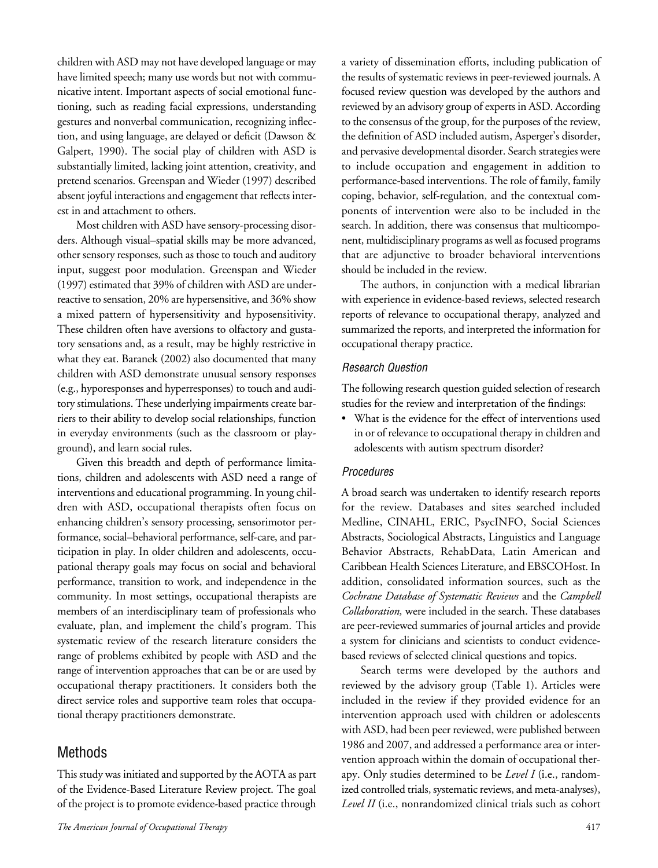children with ASD may not have developed language or may have limited speech; many use words but not with communicative intent. Important aspects of social emotional functioning, such as reading facial expressions, understanding gestures and nonverbal communication, recognizing inflection, and using language, are delayed or deficit (Dawson & Galpert, 1990). The social play of children with ASD is substantially limited, lacking joint attention, creativity, and pretend scenarios. Greenspan and Wieder (1997) described absent joyful interactions and engagement that reflects interest in and attachment to others.

Most children with ASD have sensory-processing disorders. Although visual–spatial skills may be more advanced, other sensory responses, such as those to touch and auditory input, suggest poor modulation. Greenspan and Wieder  $(1997)$  estimated that 39% of children with ASD are underreactive to sensation, 20% are hypersensitive, and 36% show a mixed pattern of hypersensitivity and hyposensitivity. These children often have aversions to olfactory and gustatory sensations and, as a result, may be highly restrictive in what they eat. Baranek (2002) also documented that many children with ASD demonstrate unusual sensory responses (e.g., hyporesponses and hyperresponses) to touch and auditory stimulations. These underlying impairments create barriers to their ability to develop social relationships, function in everyday environments (such as the classroom or playground), and learn social rules.

Given this breadth and depth of performance limitations, children and adolescents with ASD need a range of interventions and educational programming. In young children with ASD, occupational therapists often focus on enhancing children's sensory processing, sensorimotor performance, social–behavioral performance, self-care, and participation in play. In older children and adolescents, occupational therapy goals may focus on social and behavioral performance, transition to work, and independence in the community. In most settings, occupational therapists are members of an interdisciplinary team of professionals who evaluate, plan, and implement the child's program. This systematic review of the research literature considers the range of problems exhibited by people with ASD and the range of intervention approaches that can be or are used by occupational therapy practitioners. It considers both the direct service roles and supportive team roles that occupational therapy practitioners demonstrate.

## Methods

This study was initiated and supported by the AOTA as part of the Evidence-Based Literature Review project. The goal of the project is to promote evidence-based practice through

a variety of dissemination efforts, including publication of the results of systematic reviews in peer-reviewed journals. A focused review question was developed by the authors and reviewed by an advisory group of experts in ASD. According to the consensus of the group, for the purposes of the review, the definition of ASD included autism, Asperger's disorder, and pervasive developmental disorder. Search strategies were to include occupation and engagement in addition to performance-based interventions. The role of family, family coping, behavior, self-regulation, and the contextual components of intervention were also to be included in the search. In addition, there was consensus that multicomponent, multidisciplinary programs as well as focused programs that are adjunctive to broader behavioral interventions should be included in the review.

The authors, in conjunction with a medical librarian with experience in evidence-based reviews, selected research reports of relevance to occupational therapy, analyzed and summarized the reports, and interpreted the information for occupational therapy practice.

#### Research Question

The following research question guided selection of research studies for the review and interpretation of the findings:

• What is the evidence for the effect of interventions used in or of relevance to occupational therapy in children and adolescents with autism spectrum disorder?

#### Procedures

A broad search was undertaken to identify research reports for the review. Databases and sites searched included Medline, CINAHL, ERIC, PsycINFO, Social Sciences Abstracts, Sociological Abstracts, Linguistics and Language Behavior Abstracts, RehabData, Latin American and Caribbean Health Sciences Literature, and EBSCOHost. In addition, consolidated information sources, such as the *Cochrane Database of Systematic Reviews* and the *Campbell Collaboration,* were included in the search. These databases are peer-reviewed summaries of journal articles and provide a system for clinicians and scientists to conduct evidencebased reviews of selected clinical questions and topics.

Search terms were developed by the authors and reviewed by the advisory group (Table 1). Articles were included in the review if they provided evidence for an intervention approach used with children or adolescents with ASD, had been peer reviewed, were published between 1986 and 2007, and addressed a performance area or intervention approach within the domain of occupational therapy. Only studies determined to be *Level I* (i.e., randomized controlled trials, systematic reviews, and meta-analyses), *Level II* (i.e., nonrandomized clinical trials such as cohort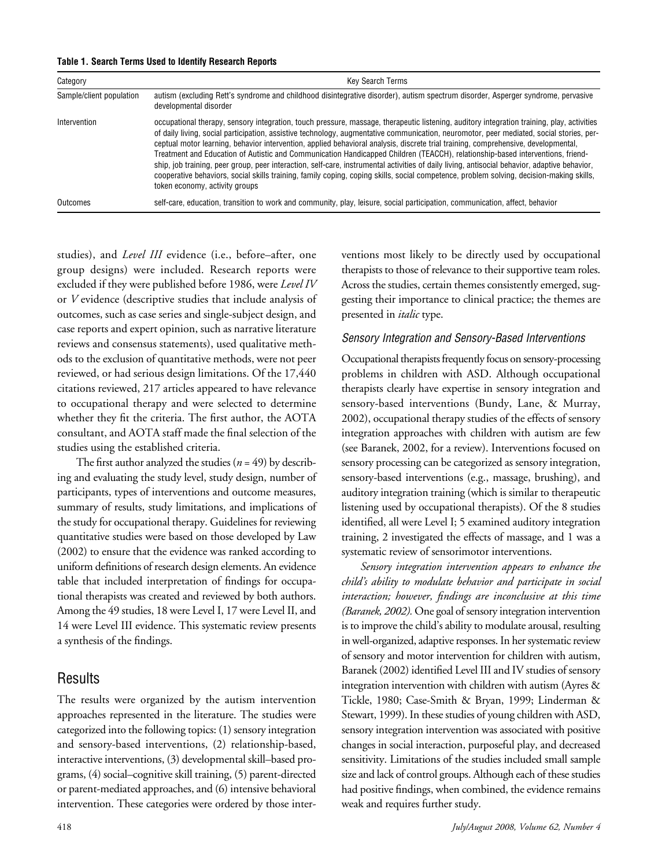| Table 1. Search Terms Used to Identify Research Reports |  |  |  |  |  |
|---------------------------------------------------------|--|--|--|--|--|
|---------------------------------------------------------|--|--|--|--|--|

| Category                 | <b>Key Search Terms</b>                                                                                                                                                                                                                                                                                                                                                                                                                                                                                                                                                                                                                                                                                                                                                                                                                                                                       |
|--------------------------|-----------------------------------------------------------------------------------------------------------------------------------------------------------------------------------------------------------------------------------------------------------------------------------------------------------------------------------------------------------------------------------------------------------------------------------------------------------------------------------------------------------------------------------------------------------------------------------------------------------------------------------------------------------------------------------------------------------------------------------------------------------------------------------------------------------------------------------------------------------------------------------------------|
| Sample/client population | autism (excluding Rett's syndrome and childhood disintegrative disorder), autism spectrum disorder, Asperger syndrome, pervasive<br>developmental disorder                                                                                                                                                                                                                                                                                                                                                                                                                                                                                                                                                                                                                                                                                                                                    |
| Intervention             | occupational therapy, sensory integration, touch pressure, massage, therapeutic listening, auditory integration training, play, activities<br>of daily living, social participation, assistive technology, augmentative communication, neuromotor, peer mediated, social stories, per-<br>ceptual motor learning, behavior intervention, applied behavioral analysis, discrete trial training, comprehensive, developmental,<br>Treatment and Education of Autistic and Communication Handicapped Children (TEACCH), relationship-based interventions, friend-<br>ship, job training, peer group, peer interaction, self-care, instrumental activities of daily living, antisocial behavior, adaptive behavior,<br>cooperative behaviors, social skills training, family coping, coping skills, social competence, problem solving, decision-making skills,<br>token economy, activity groups |
| Outcomes                 | self-care, education, transition to work and community, play, leisure, social participation, communication, affect, behavior                                                                                                                                                                                                                                                                                                                                                                                                                                                                                                                                                                                                                                                                                                                                                                  |

studies), and *Level III* evidence (i.e., before–after, one group designs) were included. Research reports were excluded if they were published before 1986, were *Level IV* or *V* evidence (descriptive studies that include analysis of outcomes, such as case series and single-subject design, and case reports and expert opinion, such as narrative literature reviews and consensus statements), used qualitative methods to the exclusion of quantitative methods, were not peer reviewed, or had serious design limitations. Of the 17,440 citations reviewed, 217 articles appeared to have relevance to occupational therapy and were selected to determine whether they fit the criteria. The first author, the AOTA consultant, and AOTA staff made the final selection of the studies using the established criteria.

The first author analyzed the studies  $(n = 49)$  by describing and evaluating the study level, study design, number of participants, types of interventions and outcome measures, summary of results, study limitations, and implications of the study for occupational therapy. Guidelines for reviewing quantitative studies were based on those developed by Law (2002) to ensure that the evidence was ranked according to uniform definitions of research design elements. An evidence table that included interpretation of findings for occupational therapists was created and reviewed by both authors. Among the 49 studies, 18 were Level I, 17 were Level II, and 14 were Level III evidence. This systematic review presents a synthesis of the findings.

## Results

The results were organized by the autism intervention approaches represented in the literature. The studies were categorized into the following topics: (1) sensory integration and sensory-based interventions, (2) relationship-based, interactive interventions, (3) developmental skill–based programs, (4) social–cognitive skill training, (5) parent-directed or parent-mediated approaches, and (6) intensive behavioral intervention. These categories were ordered by those interventions most likely to be directly used by occupational therapists to those of relevance to their supportive team roles. Across the studies, certain themes consistently emerged, suggesting their importance to clinical practice; the themes are presented in *italic* type.

#### Sensory Integration and Sensory-Based Interventions

Occupational therapists frequently focus on sensory-processing problems in children with ASD. Although occupational therapists clearly have expertise in sensory integration and sensory-based interventions (Bundy, Lane, & Murray, 2002), occupational therapy studies of the effects of sensory integration approaches with children with autism are few (see Baranek, 2002, for a review). Interventions focused on sensory processing can be categorized as sensory integration, sensory-based interventions (e.g., massage, brushing), and auditory integration training (which is similar to therapeutic listening used by occupational therapists). Of the 8 studies identified, all were Level I; 5 examined auditory integration training, 2 investigated the effects of massage, and 1 was a systematic review of sensorimotor interventions.

*Sensory integration intervention appears to enhance the child's ability to modulate behavior and participate in social interaction; however, findings are inconclusive at this time (Baranek, 2002).* One goal of sensory integration intervention is to improve the child's ability to modulate arousal, resulting in well-organized, adaptive responses. In her systematic review of sensory and motor intervention for children with autism, Baranek (2002) identified Level III and IV studies of sensory integration intervention with children with autism (Ayres & Tickle, 1980; Case-Smith & Bryan, 1999; Linderman & Stewart, 1999). In these studies of young children with ASD, sensory integration intervention was associated with positive changes in social interaction, purposeful play, and decreased sensitivity. Limitations of the studies included small sample size and lack of control groups. Although each of these studies had positive findings, when combined, the evidence remains weak and requires further study.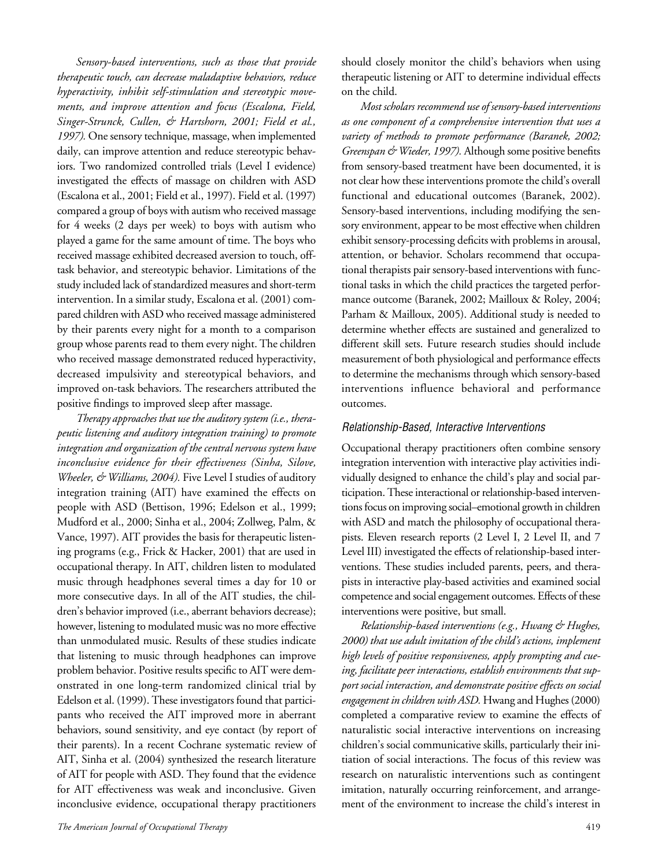*Sensory-based interventions, such as those that provide therapeutic touch, can decrease maladaptive behaviors, reduce hyperactivity, inhibit self-stimulation and stereotypic movements, and improve attention and focus (Escalona, Field, Singer-Strunck, Cullen, & Hartshorn, 2001; Field et al.,*  1997). One sensory technique, massage, when implemented daily, can improve attention and reduce stereotypic behaviors. Two randomized controlled trials (Level I evidence) investigated the effects of massage on children with ASD (Escalona et al., 2001; Field et al., 1997). Field et al. (1997) compared a group of boys with autism who received massage for 4 weeks (2 days per week) to boys with autism who played a game for the same amount of time. The boys who received massage exhibited decreased aversion to touch, offtask behavior, and stereotypic behavior. Limitations of the study included lack of standardized measures and short-term intervention. In a similar study, Escalona et al. (2001) compared children with ASD who received massage administered by their parents every night for a month to a comparison group whose parents read to them every night. The children who received massage demonstrated reduced hyperactivity, decreased impulsivity and stereotypical behaviors, and improved on-task behaviors. The researchers attributed the positive findings to improved sleep after massage.

*Therapy approaches that use the auditory system (i.e., therapeutic listening and auditory integration training) to promote integration and organization of the central nervous system have inconclusive evidence for their effectiveness (Sinha, Silove, Wheeler, & Williams, 2004).* Five Level I studies of auditory integration training (AIT) have examined the effects on people with ASD (Bettison, 1996; Edelson et al., 1999; Mudford et al., 2000; Sinha et al., 2004; Zollweg, Palm, & Vance, 1997). AIT provides the basis for therapeutic listening programs (e.g., Frick & Hacker, 2001) that are used in occupational therapy. In AIT, children listen to modulated music through headphones several times a day for 10 or more consecutive days. In all of the AIT studies, the children's behavior improved (i.e., aberrant behaviors decrease); however, listening to modulated music was no more effective than unmodulated music. Results of these studies indicate that listening to music through headphones can improve problem behavior. Positive results specific to AIT were demonstrated in one long-term randomized clinical trial by Edelson et al. (1999). These investigators found that participants who received the AIT improved more in aberrant behaviors, sound sensitivity, and eye contact (by report of their parents). In a recent Cochrane systematic review of AIT, Sinha et al. (2004) synthesized the research literature of AIT for people with ASD. They found that the evidence for AIT effectiveness was weak and inconclusive. Given inconclusive evidence, occupational therapy practitioners

should closely monitor the child's behaviors when using therapeutic listening or AIT to determine individual effects on the child.

*Most scholars recommend use of sensory-based interventions as one component of a comprehensive intervention that uses a variety of methods to promote performance (Baranek, 2002; Greenspan & Wieder, 1997).* Although some positive benefits from sensory-based treatment have been documented, it is not clear how these interventions promote the child's overall functional and educational outcomes (Baranek, 2002). Sensory-based interventions, including modifying the sensory environment, appear to be most effective when children exhibit sensory-processing deficits with problems in arousal, attention, or behavior. Scholars recommend that occupational therapists pair sensory-based interventions with functional tasks in which the child practices the targeted performance outcome (Baranek, 2002; Mailloux & Roley, 2004; Parham & Mailloux, 2005). Additional study is needed to determine whether effects are sustained and generalized to different skill sets. Future research studies should include measurement of both physiological and performance effects to determine the mechanisms through which sensory-based interventions influence behavioral and performance outcomes.

#### Relationship-Based, Interactive Interventions

Occupational therapy practitioners often combine sensory integration intervention with interactive play activities individually designed to enhance the child's play and social participation. These interactional or relationship-based interventions focus on improving social–emotional growth in children with ASD and match the philosophy of occupational therapists. Eleven research reports (2 Level I, 2 Level II, and 7 Level III) investigated the effects of relationship-based interventions. These studies included parents, peers, and therapists in interactive play-based activities and examined social competence and social engagement outcomes. Effects of these interventions were positive, but small.

*Relationship-based interventions (e.g., Hwang & Hughes, 2000) that use adult imitation of the child's actions, implement high levels of positive responsiveness, apply prompting and cueing, facilitate peer interactions, establish environments that support social interaction, and demonstrate positive effects on social engagement in children with ASD.* Hwang and Hughes (2000) completed a comparative review to examine the effects of naturalistic social interactive interventions on increasing children's social communicative skills, particularly their initiation of social interactions. The focus of this review was research on naturalistic interventions such as contingent imitation, naturally occurring reinforcement, and arrangement of the environment to increase the child's interest in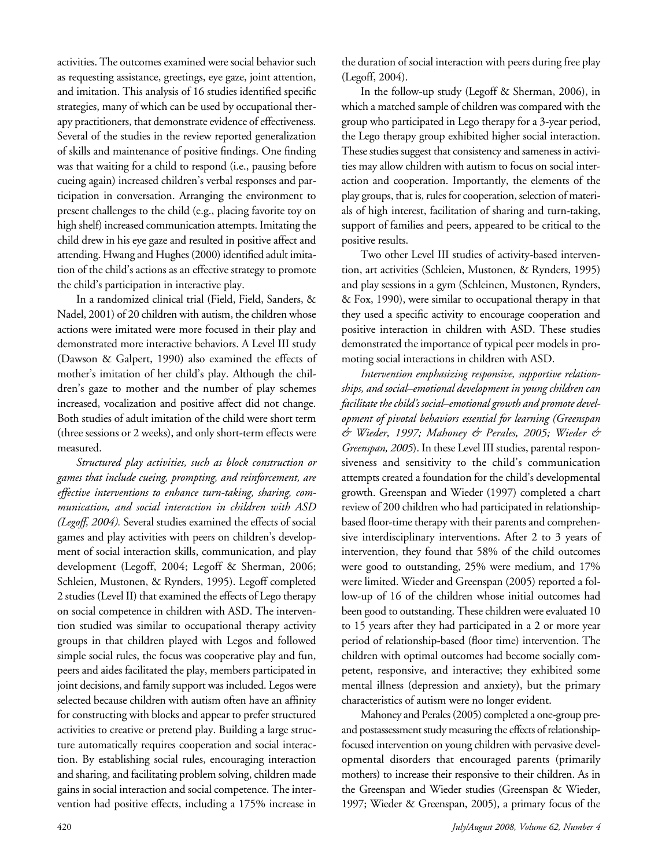activities. The outcomes examined were social behavior such as requesting assistance, greetings, eye gaze, joint attention, and imitation. This analysis of 16 studies identified specific strategies, many of which can be used by occupational therapy practitioners, that demonstrate evidence of effectiveness. Several of the studies in the review reported generalization of skills and maintenance of positive findings. One finding was that waiting for a child to respond (i.e., pausing before cueing again) increased children's verbal responses and participation in conversation. Arranging the environment to present challenges to the child (e.g., placing favorite toy on high shelf) increased communication attempts. Imitating the child drew in his eye gaze and resulted in positive affect and attending. Hwang and Hughes (2000) identified adult imitation of the child's actions as an effective strategy to promote the child's participation in interactive play.

In a randomized clinical trial (Field, Field, Sanders, & Nadel, 2001) of 20 children with autism, the children whose actions were imitated were more focused in their play and demonstrated more interactive behaviors. A Level III study (Dawson & Galpert, 1990) also examined the effects of mother's imitation of her child's play. Although the children's gaze to mother and the number of play schemes increased, vocalization and positive affect did not change. Both studies of adult imitation of the child were short term (three sessions or 2 weeks), and only short-term effects were measured.

*Structured play activities, such as block construction or games that include cueing, prompting, and reinforcement, are effective interventions to enhance turn-taking, sharing, communication, and social interaction in children with ASD (Legoff, 2004).* Several studies examined the effects of social games and play activities with peers on children's development of social interaction skills, communication, and play development (Legoff, 2004; Legoff & Sherman, 2006; Schleien, Mustonen, & Rynders, 1995). Legoff completed 2 studies (Level II) that examined the effects of Lego therapy on social competence in children with ASD. The intervention studied was similar to occupational therapy activity groups in that children played with Legos and followed simple social rules, the focus was cooperative play and fun, peers and aides facilitated the play, members participated in joint decisions, and family support was included. Legos were selected because children with autism often have an affinity for constructing with blocks and appear to prefer structured activities to creative or pretend play. Building a large structure automatically requires cooperation and social interaction. By establishing social rules, encouraging interaction and sharing, and facilitating problem solving, children made gains in social interaction and social competence. The intervention had positive effects, including a 175% increase in

the duration of social interaction with peers during free play (Legoff, 2004).

In the follow-up study (Legoff & Sherman, 2006), in which a matched sample of children was compared with the group who participated in Lego therapy for a 3-year period, the Lego therapy group exhibited higher social interaction. These studies suggest that consistency and sameness in activities may allow children with autism to focus on social interaction and cooperation. Importantly, the elements of the play groups, that is, rules for cooperation, selection of materials of high interest, facilitation of sharing and turn-taking, support of families and peers, appeared to be critical to the positive results.

Two other Level III studies of activity-based intervention, art activities (Schleien, Mustonen, & Rynders, 1995) and play sessions in a gym (Schleinen, Mustonen, Rynders, & Fox, 1990), were similar to occupational therapy in that they used a specific activity to encourage cooperation and positive interaction in children with ASD. These studies demonstrated the importance of typical peer models in promoting social interactions in children with ASD.

*Intervention emphasizing responsive, supportive relationships, and social–emotional development in young children can facilitate the child's social–emotional growth and promote development of pivotal behaviors essential for learning (Greenspan & Wieder, 1997; Mahoney & Perales, 2005; Wieder & Greenspan, 2005*). In these Level III studies, parental responsiveness and sensitivity to the child's communication attempts created a foundation for the child's developmental growth. Greenspan and Wieder (1997) completed a chart review of 200 children who had participated in relationshipbased floor-time therapy with their parents and comprehensive interdisciplinary interventions. After 2 to 3 years of intervention, they found that 58% of the child outcomes were good to outstanding, 25% were medium, and 17% were limited. Wieder and Greenspan (2005) reported a follow-up of 16 of the children whose initial outcomes had been good to outstanding. These children were evaluated 10 to 15 years after they had participated in a 2 or more year period of relationship-based (floor time) intervention. The children with optimal outcomes had become socially competent, responsive, and interactive; they exhibited some mental illness (depression and anxiety), but the primary characteristics of autism were no longer evident.

Mahoney and Perales (2005) completed a one-group preand postassessment study measuring the effects of relationshipfocused intervention on young children with pervasive developmental disorders that encouraged parents (primarily mothers) to increase their responsive to their children. As in the Greenspan and Wieder studies (Greenspan & Wieder, 1997; Wieder & Greenspan, 2005), a primary focus of the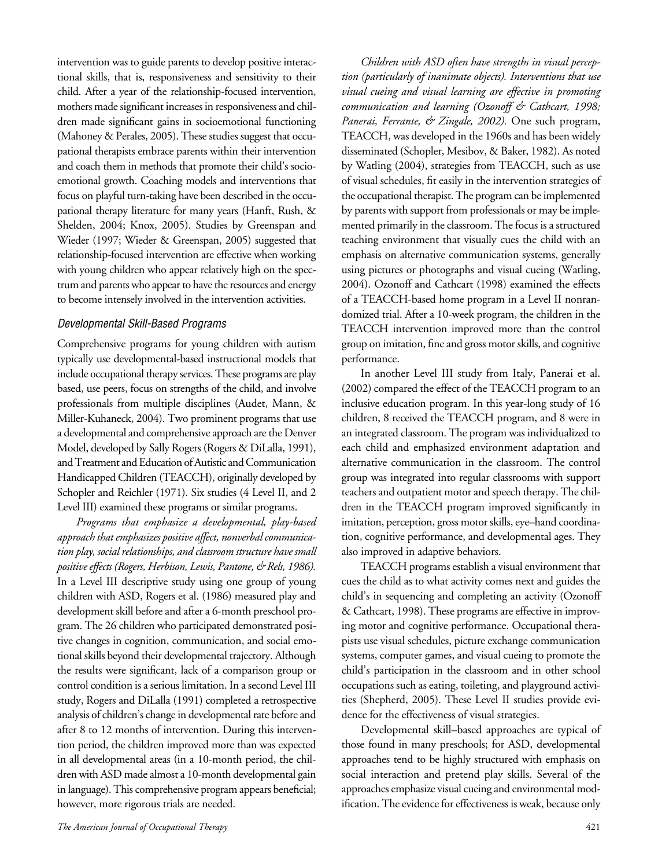intervention was to guide parents to develop positive interactional skills, that is, responsiveness and sensitivity to their child. After a year of the relationship-focused intervention, mothers made significant increases in responsiveness and children made significant gains in socioemotional functioning (Mahoney & Perales, 2005). These studies suggest that occupational therapists embrace parents within their intervention and coach them in methods that promote their child's socioemotional growth. Coaching models and interventions that focus on playful turn-taking have been described in the occupational therapy literature for many years (Hanft, Rush, & Shelden, 2004; Knox, 2005). Studies by Greenspan and Wieder (1997; Wieder & Greenspan, 2005) suggested that relationship-focused intervention are effective when working with young children who appear relatively high on the spectrum and parents who appear to have the resources and energy to become intensely involved in the intervention activities.

#### Developmental Skill-Based Programs

Comprehensive programs for young children with autism typically use developmental-based instructional models that include occupational therapy services.These programs are play based, use peers, focus on strengths of the child, and involve professionals from multiple disciplines (Audet, Mann, & Miller-Kuhaneck, 2004). Two prominent programs that use a developmental and comprehensive approach are the Denver Model, developed by Sally Rogers (Rogers & DiLalla, 1991), and Treatment and Education of Autistic and Communication Handicapped Children (TEACCH), originally developed by Schopler and Reichler (1971). Six studies (4 Level II, and 2 Level III) examined these programs or similar programs.

*Programs that emphasize a developmental, play-based approach that emphasizes positive affect, nonverbal communication play, social relationships, and classroom structure have small positive effects (Rogers, Herbison, Lewis, Pantone, & Rels, 1986).* In a Level III descriptive study using one group of young children with ASD, Rogers et al. (1986) measured play and development skill before and after a 6-month preschool program. The 26 children who participated demonstrated positive changes in cognition, communication, and social emotional skills beyond their developmental trajectory. Although the results were significant, lack of a comparison group or control condition is a serious limitation. In a second Level III study, Rogers and DiLalla (1991) completed a retrospective analysis of children's change in developmental rate before and after 8 to 12 months of intervention. During this intervention period, the children improved more than was expected in all developmental areas (in a 10-month period, the children with ASD made almost a 10-month developmental gain in language).This comprehensive program appears beneficial; however, more rigorous trials are needed.

*Children with ASD often have strengths in visual perception (particularly of inanimate objects). Interventions that use visual cueing and visual learning are effective in promoting communication and learning (Ozonoff & Cathcart, 1998; Panerai, Ferrante, & Zingale, 2002).* One such program, TEACCH, was developed in the 1960s and has been widely disseminated (Schopler, Mesibov, & Baker, 1982). As noted by Watling (2004), strategies from TEACCH, such as use of visual schedules, fit easily in the intervention strategies of the occupational therapist. The program can be implemented by parents with support from professionals or may be implemented primarily in the classroom. The focus is a structured teaching environment that visually cues the child with an emphasis on alternative communication systems, generally using pictures or photographs and visual cueing (Watling, 2004). Ozonoff and Cathcart (1998) examined the effects of a TEACCH-based home program in a Level II nonrandomized trial. After a 10-week program, the children in the TEACCH intervention improved more than the control group on imitation, fine and gross motor skills, and cognitive performance.

In another Level III study from Italy, Panerai et al.  $(2002)$  compared the effect of the TEACCH program to an inclusive education program. In this year-long study of 16 children, 8 received the TEACCH program, and 8 were in an integrated classroom. The program was individualized to each child and emphasized environment adaptation and alternative communication in the classroom. The control group was integrated into regular classrooms with support teachers and outpatient motor and speech therapy. The children in the TEACCH program improved significantly in imitation, perception, gross motor skills, eye-hand coordination, cognitive performance, and developmental ages. They also improved in adaptive behaviors.

TEACCH programs establish a visual environment that cues the child as to what activity comes next and guides the child's in sequencing and completing an activity (Ozonoff & Cathcart, 1998). These programs are effective in improving motor and cognitive performance. Occupational therapists use visual schedules, picture exchange communication systems, computer games, and visual cueing to promote the child's participation in the classroom and in other school occupations such as eating, toileting, and playground activities (Shepherd, 2005). These Level II studies provide evidence for the effectiveness of visual strategies.

Developmental skill–based approaches are typical of those found in many preschools; for ASD, developmental approaches tend to be highly structured with emphasis on social interaction and pretend play skills. Several of the approaches emphasize visual cueing and environmental modification. The evidence for effectiveness is weak, because only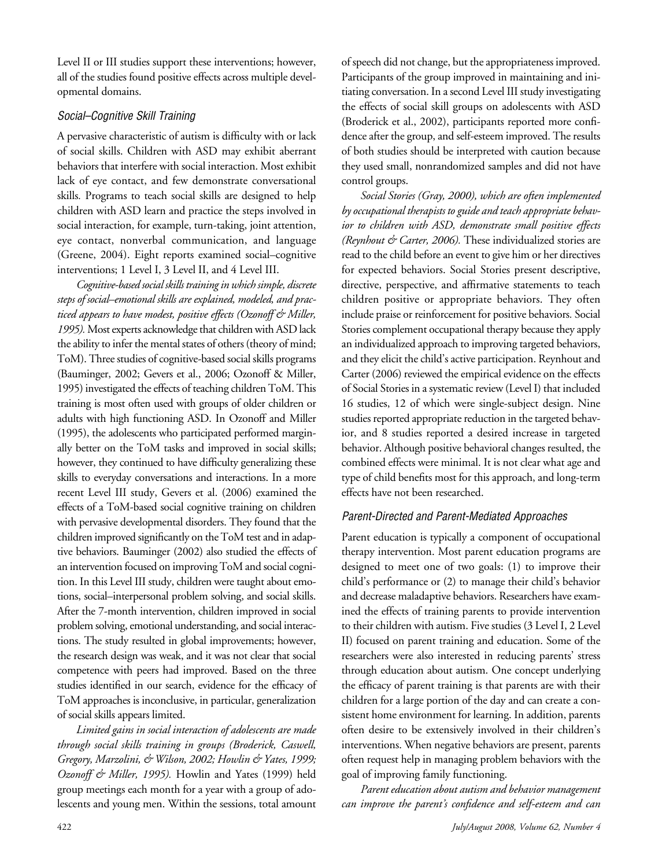Level II or III studies support these interventions; however, all of the studies found positive effects across multiple developmental domains.

#### Social–Cognitive Skill Training

A pervasive characteristic of autism is difficulty with or lack of social skills. Children with ASD may exhibit aberrant behaviors that interfere with social interaction. Most exhibit lack of eye contact, and few demonstrate conversational skills*.* Programs to teach social skills are designed to help children with ASD learn and practice the steps involved in social interaction, for example, turn-taking, joint attention, eye contact, nonverbal communication, and language (Greene, 2004). Eight reports examined social–cognitive interventions; 1 Level I, 3 Level II, and 4 Level III.

*Cognitive-based social skills training in which simple, discrete steps of social–emotional skills are explained, modeled, and practiced appears to have modest, positive effects (Ozonoff & Miller,*  1995). Most experts acknowledge that children with ASD lack the ability to infer the mental states of others (theory of mind; ToM). Three studies of cognitive-based social skills programs (Bauminger, 2002; Gevers et al., 2006; Ozonoff & Miller, 1995) investigated the effects of teaching children ToM. This training is most often used with groups of older children or adults with high functioning ASD. In Ozonoff and Miller (1995), the adolescents who participated performed marginally better on the ToM tasks and improved in social skills; however, they continued to have difficulty generalizing these skills to everyday conversations and interactions. In a more recent Level III study, Gevers et al. (2006) examined the effects of a ToM-based social cognitive training on children with pervasive developmental disorders. They found that the children improved significantly on the ToM test and in adaptive behaviors. Bauminger (2002) also studied the effects of an intervention focused on improving ToM and social cognition. In this Level III study, children were taught about emotions, social–interpersonal problem solving, and social skills. After the 7-month intervention, children improved in social problem solving, emotional understanding, and social interactions. The study resulted in global improvements; however, the research design was weak, and it was not clear that social competence with peers had improved. Based on the three studies identified in our search, evidence for the efficacy of ToM approaches is inconclusive, in particular, generalization of social skills appears limited.

*Limited gains in social interaction of adolescents are made through social skills training in groups (Broderick, Caswell, Gregory, Marzolini, & Wilson, 2002; Howlin & Yates, 1999; Ozonoff & Miller, 1995).* Howlin and Yates (1999) held group meetings each month for a year with a group of adolescents and young men. Within the sessions, total amount of speech did not change, but the appropriateness improved. Participants of the group improved in maintaining and initiating conversation. In a second Level III study investigating the effects of social skill groups on adolescents with ASD (Broderick et al., 2002), participants reported more confidence after the group, and self-esteem improved. The results of both studies should be interpreted with caution because they used small, nonrandomized samples and did not have control groups.

*Social Stories (Gray, 2000), which are often implemented by occupational therapists to guide and teach appropriate behavior to children with ASD, demonstrate small positive effects (Reynhout & Carter, 2006).* These individualized stories are read to the child before an event to give him or her directives for expected behaviors. Social Stories present descriptive, directive, perspective, and affirmative statements to teach children positive or appropriate behaviors. They often include praise or reinforcement for positive behaviors*.* Social Stories complement occupational therapy because they apply an individualized approach to improving targeted behaviors, and they elicit the child's active participation. Reynhout and Carter (2006) reviewed the empirical evidence on the effects of Social Stories in a systematic review (Level I) that included 16 studies, 12 of which were single-subject design. Nine studies reported appropriate reduction in the targeted behavior, and 8 studies reported a desired increase in targeted behavior. Although positive behavioral changes resulted, the combined effects were minimal. It is not clear what age and type of child benefits most for this approach, and long-term effects have not been researched.

## Parent-Directed and Parent-Mediated Approaches

Parent education is typically a component of occupational therapy intervention. Most parent education programs are designed to meet one of two goals: (1) to improve their child's performance or (2) to manage their child's behavior and decrease maladaptive behaviors. Researchers have examined the effects of training parents to provide intervention to their children with autism. Five studies (3 Level I, 2 Level II) focused on parent training and education. Some of the researchers were also interested in reducing parents' stress through education about autism. One concept underlying the efficacy of parent training is that parents are with their children for a large portion of the day and can create a consistent home environment for learning. In addition, parents often desire to be extensively involved in their children's interventions. When negative behaviors are present, parents often request help in managing problem behaviors with the goal of improving family functioning.

*Parent education about autism and behavior management can improve the parent's confidence and self-esteem and can*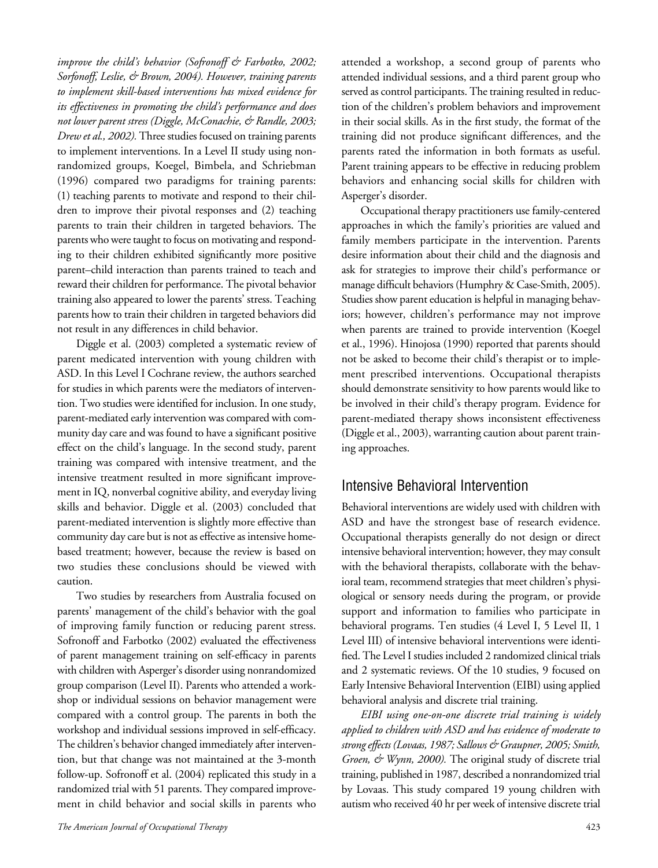*improve the child's behavior (Sofronoff & Farbotko, 2002; Sorfonoff, Leslie, & Brown, 2004). However, training parents to implement skill-based interventions has mixed evidence for its effectiveness in promoting the child's performance and does not lower parent stress (Diggle, McConachie, & Randle, 2003; Drew et al., 2002).* Three studies focused on training parents to implement interventions. In a Level II study using nonrandomized groups, Koegel, Bimbela, and Schriebman (1996) compared two paradigms for training parents: (1) teaching parents to motivate and respond to their children to improve their pivotal responses and (2) teaching parents to train their children in targeted behaviors. The parents who were taught to focus on motivating and responding to their children exhibited significantly more positive parent–child interaction than parents trained to teach and reward their children for performance. The pivotal behavior training also appeared to lower the parents' stress. Teaching parents how to train their children in targeted behaviors did not result in any differences in child behavior.

Diggle et al. (2003) completed a systematic review of parent medicated intervention with young children with ASD. In this Level I Cochrane review, the authors searched for studies in which parents were the mediators of intervention. Two studies were identified for inclusion. In one study, parent-mediated early intervention was compared with community day care and was found to have a significant positive effect on the child's language. In the second study, parent training was compared with intensive treatment, and the intensive treatment resulted in more significant improvement in IQ, nonverbal cognitive ability, and everyday living skills and behavior. Diggle et al. (2003) concluded that parent-mediated intervention is slightly more effective than community day care but is not as effective as intensive homebased treatment; however, because the review is based on two studies these conclusions should be viewed with caution.

Two studies by researchers from Australia focused on parents' management of the child's behavior with the goal of improving family function or reducing parent stress. Sofronoff and Farbotko (2002) evaluated the effectiveness of parent management training on self-efficacy in parents with children with Asperger's disorder using nonrandomized group comparison (Level II). Parents who attended a workshop or individual sessions on behavior management were compared with a control group. The parents in both the workshop and individual sessions improved in self-efficacy. The children's behavior changed immediately after intervention, but that change was not maintained at the 3-month follow-up. Sofronoff et al. (2004) replicated this study in a randomized trial with 51 parents. They compared improvement in child behavior and social skills in parents who

*The American Journal of Occupational Therapy* 423

attended a workshop, a second group of parents who attended individual sessions, and a third parent group who served as control participants. The training resulted in reduction of the children's problem behaviors and improvement in their social skills. As in the first study, the format of the training did not produce significant differences, and the parents rated the information in both formats as useful. Parent training appears to be effective in reducing problem behaviors and enhancing social skills for children with Asperger's disorder.

Occupational therapy practitioners use family-centered approaches in which the family's priorities are valued and family members participate in the intervention. Parents desire information about their child and the diagnosis and ask for strategies to improve their child's performance or manage difficult behaviors (Humphry & Case-Smith, 2005). Studies show parent education is helpful in managing behaviors; however, children's performance may not improve when parents are trained to provide intervention (Koegel et al., 1996). Hinojosa (1990) reported that parents should not be asked to become their child's therapist or to implement prescribed interventions. Occupational therapists should demonstrate sensitivity to how parents would like to be involved in their child's therapy program. Evidence for parent-mediated therapy shows inconsistent effectiveness (Diggle et al., 2003), warranting caution about parent training approaches.

# Intensive Behavioral Intervention

Behavioral interventions are widely used with children with ASD and have the strongest base of research evidence. Occupational therapists generally do not design or direct intensive behavioral intervention; however, they may consult with the behavioral therapists, collaborate with the behavioral team, recommend strategies that meet children's physiological or sensory needs during the program, or provide support and information to families who participate in behavioral programs. Ten studies (4 Level I, 5 Level II, 1 Level III) of intensive behavioral interventions were identified. The Level I studies included 2 randomized clinical trials and 2 systematic reviews. Of the 10 studies, 9 focused on Early Intensive Behavioral Intervention (EIBI) using applied behavioral analysis and discrete trial training.

*EIBI using one-on-one discrete trial training is widely applied to children with ASD and has evidence of moderate to strong effects (Lovaas, 1987; Sallows & Graupner, 2005; Smith, Groen, & Wynn, 2000).* The original study of discrete trial training, published in 1987, described a nonrandomized trial by Lovaas. This study compared 19 young children with autism who received 40 hr per week of intensive discrete trial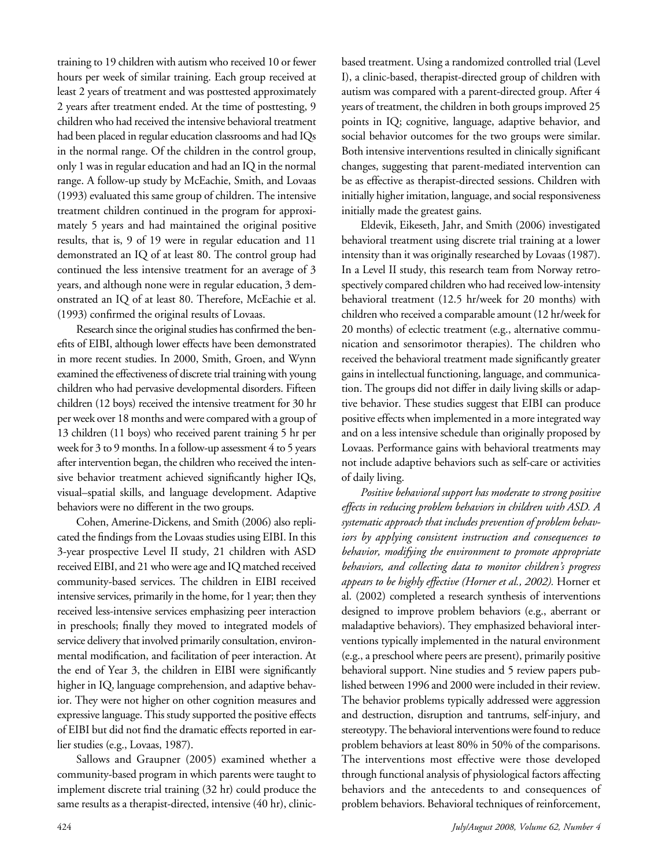training to 19 children with autism who received 10 or fewer hours per week of similar training. Each group received at least 2 years of treatment and was posttested approximately 2 years after treatment ended. At the time of posttesting, 9 children who had received the intensive behavioral treatment had been placed in regular education classrooms and had IQs in the normal range. Of the children in the control group, only 1 was in regular education and had an IQ in the normal range. A follow-up study by McEachie, Smith, and Lovaas (1993) evaluated this same group of children. The intensive treatment children continued in the program for approximately 5 years and had maintained the original positive results, that is, 9 of 19 were in regular education and 11 demonstrated an IQ of at least 80. The control group had continued the less intensive treatment for an average of 3 years, and although none were in regular education, 3 demonstrated an IQ of at least 80. Therefore, McEachie et al. (1993) confirmed the original results of Lovaas.

Research since the original studies has confirmed the benefits of EIBI, although lower effects have been demonstrated in more recent studies. In 2000, Smith, Groen, and Wynn examined the effectiveness of discrete trial training with young children who had pervasive developmental disorders. Fifteen children (12 boys) received the intensive treatment for 30 hr per week over 18 months and were compared with a group of 13 children (11 boys) who received parent training 5 hr per week for 3 to 9 months. In a follow-up assessment 4 to 5 years after intervention began, the children who received the intensive behavior treatment achieved significantly higher IQs, visual–spatial skills, and language development. Adaptive behaviors were no different in the two groups.

Cohen, Amerine-Dickens, and Smith (2006) also replicated the findings from the Lovaas studies using EIBI. In this 3-year prospective Level II study, 21 children with ASD received EIBI, and 21 who were age and IQ matched received community-based services. The children in EIBI received intensive services, primarily in the home, for 1 year; then they received less-intensive services emphasizing peer interaction in preschools; finally they moved to integrated models of service delivery that involved primarily consultation, environmental modification, and facilitation of peer interaction. At the end of Year 3, the children in EIBI were significantly higher in IQ, language comprehension, and adaptive behavior. They were not higher on other cognition measures and expressive language. This study supported the positive effects of EIBI but did not find the dramatic effects reported in earlier studies (e.g., Lovaas, 1987).

Sallows and Graupner (2005) examined whether a community-based program in which parents were taught to implement discrete trial training (32 hr) could produce the same results as a therapist-directed, intensive (40 hr), clinicbased treatment. Using a randomized controlled trial (Level I), a clinic-based, therapist-directed group of children with autism was compared with a parent-directed group. After 4 years of treatment, the children in both groups improved 25 points in IQ; cognitive, language, adaptive behavior, and social behavior outcomes for the two groups were similar. Both intensive interventions resulted in clinically significant changes, suggesting that parent-mediated intervention can be as effective as therapist-directed sessions. Children with initially higher imitation, language, and social responsiveness initially made the greatest gains.

Eldevik, Eikeseth, Jahr, and Smith (2006) investigated behavioral treatment using discrete trial training at a lower intensity than it was originally researched by Lovaas (1987). In a Level II study, this research team from Norway retrospectively compared children who had received low-intensity behavioral treatment (12.5 hr/week for 20 months) with children who received a comparable amount (12 hr/week for 20 months) of eclectic treatment (e.g., alternative communication and sensorimotor therapies). The children who received the behavioral treatment made significantly greater gains in intellectual functioning, language, and communication. The groups did not differ in daily living skills or adaptive behavior. These studies suggest that EIBI can produce positive effects when implemented in a more integrated way and on a less intensive schedule than originally proposed by Lovaas. Performance gains with behavioral treatments may not include adaptive behaviors such as self-care or activities of daily living.

*Positive behavioral support has moderate to strong positive effects in reducing problem behaviors in children with ASD. A systematic approach that includes prevention of problem behaviors by applying consistent instruction and consequences to behavior, modifying the environment to promote appropriate behaviors, and collecting data to monitor children's progress appears to be highly effective (Horner et al., 2002).* Horner et al. (2002) completed a research synthesis of interventions designed to improve problem behaviors (e.g., aberrant or maladaptive behaviors). They emphasized behavioral interventions typically implemented in the natural environment (e.g., a preschool where peers are present), primarily positive behavioral support. Nine studies and 5 review papers published between 1996 and 2000 were included in their review. The behavior problems typically addressed were aggression and destruction, disruption and tantrums, self-injury, and stereotypy. The behavioral interventions were found to reduce problem behaviors at least 80% in 50% of the comparisons. The interventions most effective were those developed through functional analysis of physiological factors affecting behaviors and the antecedents to and consequences of problem behaviors. Behavioral techniques of reinforcement,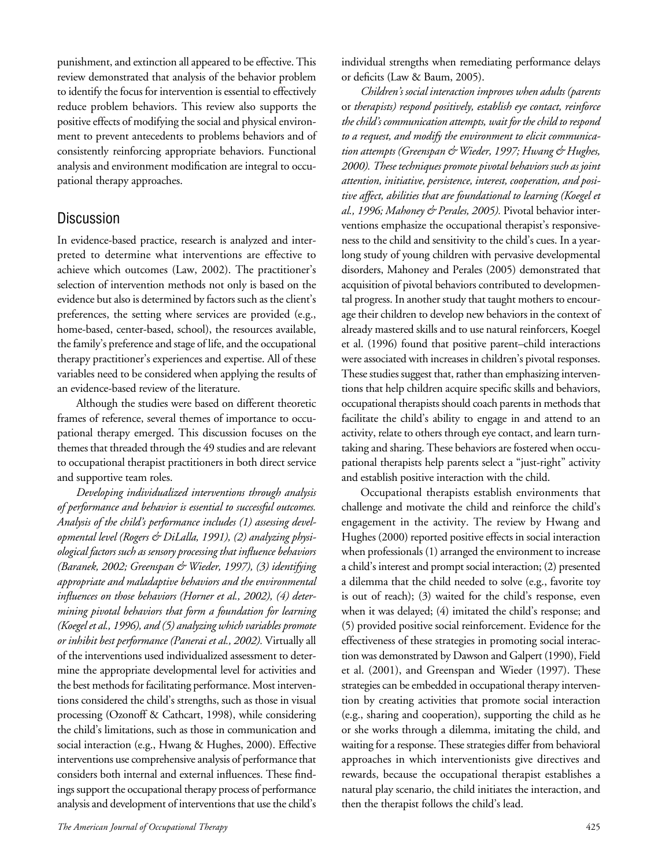punishment, and extinction all appeared to be effective. This review demonstrated that analysis of the behavior problem to identify the focus for intervention is essential to effectively reduce problem behaviors. This review also supports the positive effects of modifying the social and physical environment to prevent antecedents to problems behaviors and of consistently reinforcing appropriate behaviors. Functional analysis and environment modification are integral to occupational therapy approaches.

## **Discussion**

In evidence-based practice, research is analyzed and interpreted to determine what interventions are effective to achieve which outcomes (Law, 2002). The practitioner's selection of intervention methods not only is based on the evidence but also is determined by factors such as the client's preferences, the setting where services are provided (e.g., home-based, center-based, school), the resources available, the family's preference and stage of life, and the occupational therapy practitioner's experiences and expertise. All of these variables need to be considered when applying the results of an evidence-based review of the literature.

Although the studies were based on different theoretic frames of reference, several themes of importance to occupational therapy emerged. This discussion focuses on the themes that threaded through the 49 studies and are relevant to occupational therapist practitioners in both direct service and supportive team roles.

*Developing individualized interventions through analysis of performance and behavior is essential to successful outcomes. Analysis of the child's performance includes (1) assessing developmental level (Rogers & DiLalla, 1991), (2) analyzing physiological factors such as sensory processing that influence behaviors (Baranek, 2002; Greenspan & Wieder, 1997), (3) identifying appropriate and maladaptive behaviors and the environmental influences on those behaviors (Horner et al., 2002), (4) determining pivotal behaviors that form a foundation for learning (Koegel et al., 1996), and (5) analyzing which variables promote or inhibit best performance (Panerai et al., 2002).* Virtually all of the interventions used individualized assessment to determine the appropriate developmental level for activities and the best methods for facilitating performance. Most interventions considered the child's strengths, such as those in visual processing (Ozonoff & Cathcart, 1998), while considering the child's limitations, such as those in communication and social interaction (e.g., Hwang & Hughes, 2000). Effective interventions use comprehensive analysis of performance that considers both internal and external influences. These findings support the occupational therapy process of performance analysis and development of interventions that use the child's individual strengths when remediating performance delays or deficits (Law & Baum, 2005).

*Children's social interaction improves when adults (parents*  or *therapists) respond positively, establish eye contact, reinforce the child's communication attempts, wait for the child to respond to a request, and modify the environment to elicit communication attempts (Greenspan & Wieder, 1997; Hwang & Hughes, 2000). These techniques promote pivotal behaviors such as joint attention, initiative, persistence, interest, cooperation, and positive affect, abilities that are foundational to learning (Koegel et al., 1996; Mahoney & Perales, 2005).* Pivotal behavior interventions emphasize the occupational therapist's responsiveness to the child and sensitivity to the child's cues. In a yearlong study of young children with pervasive developmental disorders, Mahoney and Perales (2005) demonstrated that acquisition of pivotal behaviors contributed to developmental progress. In another study that taught mothers to encourage their children to develop new behaviors in the context of already mastered skills and to use natural reinforcers, Koegel et al. (1996) found that positive parent–child interactions were associated with increases in children's pivotal responses. These studies suggest that, rather than emphasizing interventions that help children acquire specific skills and behaviors, occupational therapists should coach parents in methods that facilitate the child's ability to engage in and attend to an activity, relate to others through eye contact, and learn turntaking and sharing. These behaviors are fostered when occupational therapists help parents select a "just-right" activity and establish positive interaction with the child.

Occupational therapists establish environments that challenge and motivate the child and reinforce the child's engagement in the activity. The review by Hwang and Hughes (2000) reported positive effects in social interaction when professionals (1) arranged the environment to increase a child's interest and prompt social interaction; (2) presented a dilemma that the child needed to solve (e.g., favorite toy is out of reach); (3) waited for the child's response, even when it was delayed; (4) imitated the child's response; and (5) provided positive social reinforcement. Evidence for the effectiveness of these strategies in promoting social interaction was demonstrated by Dawson and Galpert (1990), Field et al. (2001), and Greenspan and Wieder (1997). These strategies can be embedded in occupational therapy intervention by creating activities that promote social interaction (e.g., sharing and cooperation), supporting the child as he or she works through a dilemma, imitating the child, and waiting for a response. These strategies differ from behavioral approaches in which interventionists give directives and rewards, because the occupational therapist establishes a natural play scenario, the child initiates the interaction, and then the therapist follows the child's lead.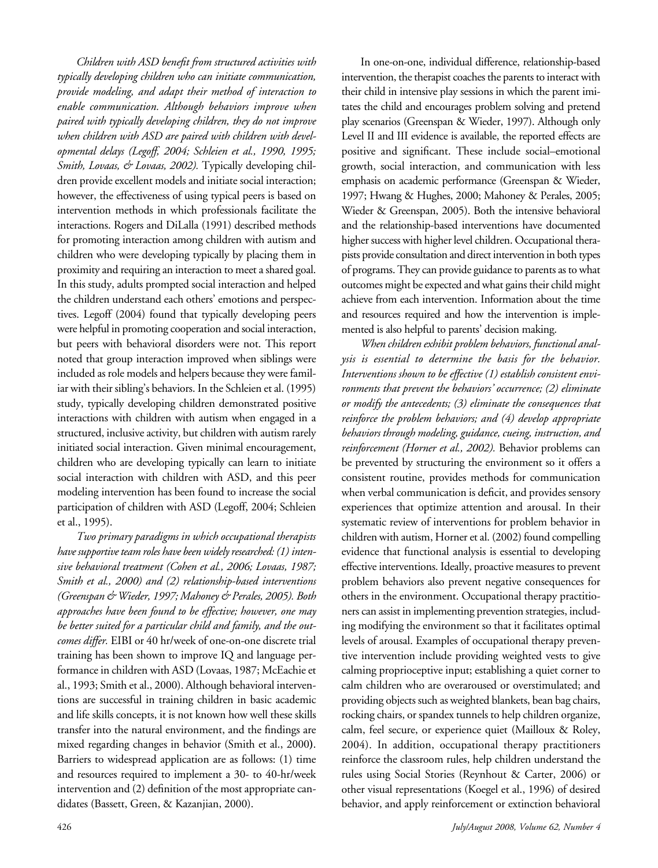*Children with ASD benefit from structured activities with typically developing children who can initiate communication, provide modeling, and adapt their method of interaction to enable communication. Although behaviors improve when paired with typically developing children, they do not improve when children with ASD are paired with children with developmental delays (Legoff, 2004; Schleien et al., 1990, 1995; Smith, Lovaas, & Lovaas, 2002).* Typically developing children provide excellent models and initiate social interaction; however, the effectiveness of using typical peers is based on intervention methods in which professionals facilitate the interactions. Rogers and DiLalla (1991) described methods for promoting interaction among children with autism and children who were developing typically by placing them in proximity and requiring an interaction to meet a shared goal. In this study, adults prompted social interaction and helped the children understand each others' emotions and perspectives. Legoff (2004) found that typically developing peers were helpful in promoting cooperation and social interaction, but peers with behavioral disorders were not. This report noted that group interaction improved when siblings were included as role models and helpers because they were familiar with their sibling's behaviors. In the Schleien et al. (1995) study, typically developing children demonstrated positive interactions with children with autism when engaged in a structured, inclusive activity, but children with autism rarely initiated social interaction. Given minimal encouragement, children who are developing typically can learn to initiate social interaction with children with ASD, and this peer modeling intervention has been found to increase the social participation of children with ASD (Legoff, 2004; Schleien et al., 1995).

*Two primary paradigms in which occupational therapists have supportive team roles have been widely researched: (1) intensive behavioral treatment (Cohen et al., 2006; Lovaas, 1987; Smith et al., 2000) and (2) relationship-based interventions (Greenspan & Wieder, 1997; Mahoney & Perales, 2005). Both approaches have been found to be effective; however, one may be better suited for a particular child and family, and the outcomes differ.* EIBI or 40 hr/week of one-on-one discrete trial training has been shown to improve IQ and language performance in children with ASD (Lovaas, 1987; McEachie et al., 1993; Smith et al., 2000). Although behavioral interventions are successful in training children in basic academic and life skills concepts, it is not known how well these skills transfer into the natural environment, and the findings are mixed regarding changes in behavior (Smith et al., 2000**)**. Barriers to widespread application are as follows: (1) time and resources required to implement a 30- to 40-hr/week intervention and (2) definition of the most appropriate candidates (Bassett, Green, & Kazanjian, 2000).

In one-on-one, individual difference, relationship-based intervention, the therapist coaches the parents to interact with their child in intensive play sessions in which the parent imitates the child and encourages problem solving and pretend play scenarios (Greenspan & Wieder, 1997). Although only Level II and III evidence is available, the reported effects are positive and significant. These include social–emotional growth, social interaction, and communication with less emphasis on academic performance (Greenspan & Wieder, 1997; Hwang & Hughes, 2000; Mahoney & Perales, 2005; Wieder & Greenspan, 2005). Both the intensive behavioral and the relationship-based interventions have documented higher success with higher level children. Occupational therapists provide consultation and direct intervention in both types of programs. They can provide guidance to parents as to what outcomes might be expected and what gains their child might achieve from each intervention. Information about the time and resources required and how the intervention is implemented is also helpful to parents' decision making.

*When children exhibit problem behaviors, functional analysis is essential to determine the basis for the behavior. Interventions shown to be effective (1) establish consistent environments that prevent the behaviors' occurrence; (2) eliminate or modify the antecedents; (3) eliminate the consequences that reinforce the problem behaviors; and (4) develop appropriate behaviors through modeling, guidance, cueing, instruction, and reinforcement (Horner et al., 2002).* Behavior problems can be prevented by structuring the environment so it offers a consistent routine, provides methods for communication when verbal communication is deficit, and provides sensory experiences that optimize attention and arousal. In their systematic review of interventions for problem behavior in children with autism, Horner et al. (2002) found compelling evidence that functional analysis is essential to developing effective interventions. Ideally, proactive measures to prevent problem behaviors also prevent negative consequences for others in the environment. Occupational therapy practitioners can assist in implementing prevention strategies, including modifying the environment so that it facilitates optimal levels of arousal. Examples of occupational therapy preventive intervention include providing weighted vests to give calming proprioceptive input; establishing a quiet corner to calm children who are overaroused or overstimulated; and providing objects such as weighted blankets, bean bag chairs, rocking chairs, or spandex tunnels to help children organize, calm, feel secure, or experience quiet (Mailloux & Roley, 2004). In addition, occupational therapy practitioners reinforce the classroom rules, help children understand the rules using Social Stories (Reynhout & Carter, 2006) or other visual representations (Koegel et al., 1996) of desired behavior, and apply reinforcement or extinction behavioral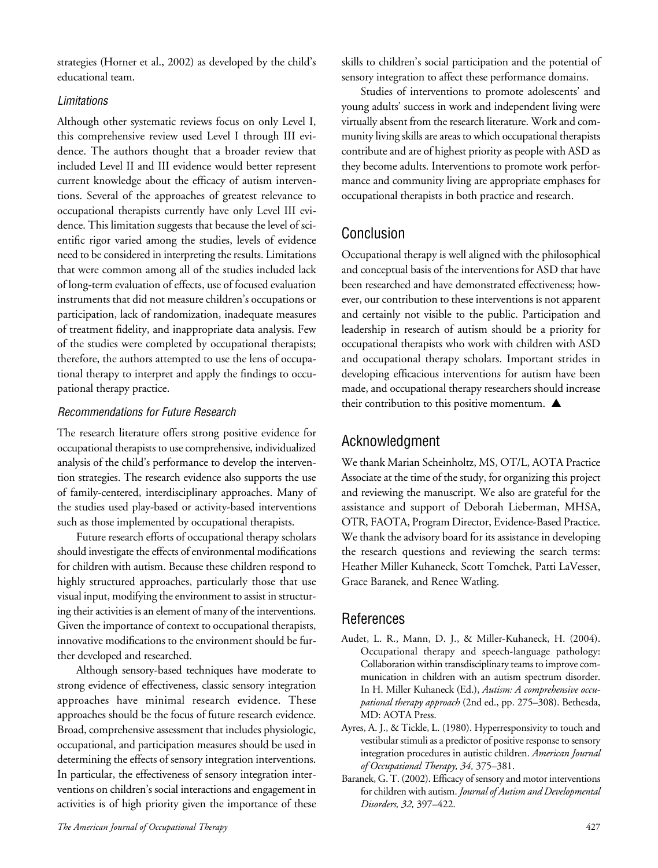strategies (Horner et al., 2002) as developed by the child's educational team.

#### Limitations

Although other systematic reviews focus on only Level I, this comprehensive review used Level I through III evidence. The authors thought that a broader review that included Level II and III evidence would better represent current knowledge about the efficacy of autism interventions. Several of the approaches of greatest relevance to occupational therapists currently have only Level III evidence. This limitation suggests that because the level of scientific rigor varied among the studies, levels of evidence need to be considered in interpreting the results. Limitations that were common among all of the studies included lack of long-term evaluation of effects, use of focused evaluation instruments that did not measure children's occupations or participation, lack of randomization, inadequate measures of treatment fidelity, and inappropriate data analysis. Few of the studies were completed by occupational therapists; therefore, the authors attempted to use the lens of occupational therapy to interpret and apply the findings to occupational therapy practice.

#### Recommendations for Future Research

The research literature offers strong positive evidence for occupational therapists to use comprehensive, individualized analysis of the child's performance to develop the intervention strategies. The research evidence also supports the use of family-centered, interdisciplinary approaches. Many of the studies used play-based or activity-based interventions such as those implemented by occupational therapists.

Future research efforts of occupational therapy scholars should investigate the effects of environmental modifications for children with autism. Because these children respond to highly structured approaches, particularly those that use visual input, modifying the environment to assist in structuring their activities is an element of many of the interventions. Given the importance of context to occupational therapists, innovative modifications to the environment should be further developed and researched.

Although sensory-based techniques have moderate to strong evidence of effectiveness, classic sensory integration approaches have minimal research evidence. These approaches should be the focus of future research evidence. Broad, comprehensive assessment that includes physiologic, occupational, and participation measures should be used in determining the effects of sensory integration interventions. In particular, the effectiveness of sensory integration interventions on children's social interactions and engagement in activities is of high priority given the importance of these skills to children's social participation and the potential of sensory integration to affect these performance domains.

Studies of interventions to promote adolescents' and young adults' success in work and independent living were virtually absent from the research literature. Work and community living skills are areas to which occupational therapists contribute and are of highest priority as people with ASD as they become adults. Interventions to promote work performance and community living are appropriate emphases for occupational therapists in both practice and research.

# Conclusion

Occupational therapy is well aligned with the philosophical and conceptual basis of the interventions for ASD that have been researched and have demonstrated effectiveness; however, our contribution to these interventions is not apparent and certainly not visible to the public. Participation and leadership in research of autism should be a priority for occupational therapists who work with children with ASD and occupational therapy scholars. Important strides in developing efficacious interventions for autism have been made, and occupational therapy researchers should increase their contribution to this positive momentum.  $\blacktriangle$ 

# Acknowledgment

We thank Marian Scheinholtz, MS, OT/L, AOTA Practice Associate at the time of the study, for organizing this project and reviewing the manuscript. We also are grateful for the assistance and support of Deborah Lieberman, MHSA, OTR, FAOTA, Program Director, Evidence-Based Practice. We thank the advisory board for its assistance in developing the research questions and reviewing the search terms: Heather Miller Kuhaneck, Scott Tomchek, Patti LaVesser, Grace Baranek, and Renee Watling.

# **References**

- Audet, L. R., Mann, D. J., & Miller-Kuhaneck, H. (2004). Occupational therapy and speech-language pathology: Collaboration within transdisciplinary teams to improve communication in children with an autism spectrum disorder. In H. Miller Kuhaneck (Ed.), *Autism: A comprehensive occupational therapy approach* (2nd ed., pp. 275–308). Bethesda, MD: AOTA Press.
- Ayres, A. J., & Tickle, L. (1980). Hyperresponsivity to touch and vestibular stimuli as a predictor of positive response to sensory integration procedures in autistic children. *American Journal of Occupational Therapy, 34,* 375–381.
- Baranek, G. T. (2002). Efficacy of sensory and motor interventions for children with autism. *Journal of Autism and Developmental Disorders, 32,* 397–422.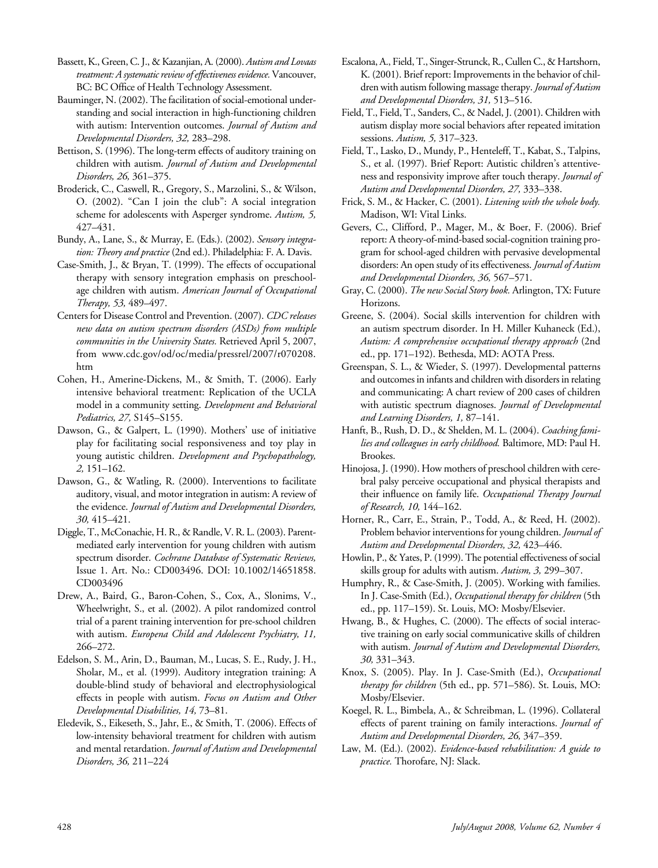Bassett,K., Green,C.J., & Kazanjian, A. (2000). *Autism and Lovaas treatment: A systematic review of effectiveness evidence.*Vancouver, BC: BC Office of Health Technology Assessment.

- Bauminger, N. (2002). The facilitation of social-emotional understanding and social interaction in high-functioning children with autism: Intervention outcomes. *Journal of Autism and Developmental Disorders, 32,* 283–298.
- Bettison, S. (1996). The long-term effects of auditory training on children with autism. *Journal of Autism and Developmental Disorders, 26,* 361–375.
- Broderick, C., Caswell, R., Gregory, S., Marzolini, S., & Wilson, O. (2002). "Can I join the club": A social integration scheme for adolescents with Asperger syndrome. *Autism, 5,* 427–431.
- Bundy, A., Lane, S., & Murray, E. (Eds.). (2002). *Sensory integration: Theory and practice* (2nd ed.). Philadelphia: F. A. Davis.
- Case-Smith, J., & Bryan, T. (1999). The effects of occupational therapy with sensory integration emphasis on preschoolage children with autism. *American Journal of Occupational Therapy, 53,* 489–497.
- Centers for Disease Control and Prevention. (2007). *CDC releases new data on autism spectrum disorders (ASDs) from multiple communities in the University States.* Retrieved April 5, 2007, from www.cdc.gov/od/oc/media/pressrel/2007/r070208. htm
- Cohen, H., Amerine-Dickens, M., & Smith, T. (2006). Early intensive behavioral treatment: Replication of the UCLA model in a community setting. *Development and Behavioral Pediatrics, 27,* S145–S155.
- Dawson, G., & Galpert, L. (1990). Mothers' use of initiative play for facilitating social responsiveness and toy play in young autistic children. *Development and Psychopathology, 2,* 151–162.
- Dawson, G., & Watling, R. (2000). Interventions to facilitate auditory, visual, and motor integration in autism: A review of the evidence. *Journal of Autism and Developmental Disorders, 30,* 415–421.
- Diggle, T., McConachie, H. R., & Randle, V. R. L. (2003). Parentmediated early intervention for young children with autism spectrum disorder. *Cochrane Database of Systematic Reviews,*  Issue 1. Art. No.: CD003496. DOI: 10.1002/14651858. CD003496
- Drew, A., Baird, G., Baron-Cohen, S., Cox, A., Slonims, V., Wheelwright, S., et al. (2002). A pilot randomized control trial of a parent training intervention for pre-school children with autism. *Europena Child and Adolescent Psychiatry, 11,* 266–272.
- Edelson, S. M., Arin, D., Bauman, M., Lucas, S. E., Rudy, J. H., Sholar, M., et al. (1999). Auditory integration training: A double-blind study of behavioral and electrophysiological effects in people with autism. *Focus on Autism and Other Developmental Disabilities, 14,* 73–81.
- Eledevik, S., Eikeseth, S., Jahr, E., & Smith, T. (2006). Effects of low-intensity behavioral treatment for children with autism and mental retardation. *Journal of Autism and Developmental Disorders, 36,* 211–224
- Escalona,A., Field,T., Singer-Strunck,R.,CullenC., & Hartshorn, K. (2001). Brief report: Improvements in the behavior of children with autism following massage therapy. *Journal of Autism and Developmental Disorders, 31,* 513–516.
- Field, T., Field, T., Sanders, C., & Nadel, J. (2001). Children with autism display more social behaviors after repeated imitation sessions. *Autism, 5,* 317–323.
- Field, T., Lasko, D., Mundy, P., Henteleff, T., Kabat, S., Talpins, S., et al. (1997). Brief Report: Autistic children's attentiveness and responsivity improve after touch therapy. *Journal of Autism and Developmental Disorders, 27,* 333–338.
- Frick, S. M., & Hacker, C. (2001). *Listening with the whole body.* Madison, WI: Vital Links.
- Gevers, C., Clifford, P., Mager, M., & Boer, F. (2006). Brief report: A theory-of-mind-based social-cognition training program for school-aged children with pervasive developmental disorders: An open study of itseffectiveness. *Journal of Autism and Developmental Disorders, 36,* 567–571.
- Gray, C. (2000). *The new Social Story book.* Arlington, TX: Future Horizons.
- Greene, S. (2004). Social skills intervention for children with an autism spectrum disorder. In H. Miller Kuhaneck (Ed.), *Autism: A comprehensive occupational therapy approach* (2nd ed., pp. 171–192). Bethesda, MD: AOTA Press.
- Greenspan, S. L., & Wieder, S. (1997). Developmental patterns and outcomes in infants and children with disorders in relating and communicating: A chart review of 200 cases of children with autistic spectrum diagnoses. *Journal of Developmental and Learning Disorders, 1,* 87–141.
- Hanft, B., Rush, D. D., & Shelden, M. L. (2004). *Coaching families and colleagues in early childhood.* Baltimore, MD: Paul H. Brookes.
- Hinojosa, J. (1990). How mothers of preschool children with cerebral palsy perceive occupational and physical therapists and their influence on family life. *Occupational Therapy Journal of Research, 10,* 144–162.
- Horner, R., Carr, E., Strain, P., Todd, A., & Reed, H. (2002). Problem behavior interventions for young children. *Journal of Autism and Developmental Disorders, 32,* 423–446.
- Howlin, P., & Yates, P. (1999). The potential effectiveness of social skills group for adults with autism. *Autism, 3,* 299–307.
- Humphry, R., & Case-Smith, J. (2005). Working with families. In J. Case-Smith (Ed.), *Occupational therapy for children* (5th ed., pp. 117–159). St. Louis, MO: Mosby/Elsevier.
- Hwang, B., & Hughes, C. (2000). The effects of social interactive training on early social communicative skills of children with autism. *Journal of Autism and Developmental Disorders, 30,* 331–343.
- Knox, S. (2005). Play. In J. Case-Smith (Ed.), *Occupational therapy for children* (5th ed., pp. 571–586). St. Louis, MO: Mosby/Elsevier.
- Koegel, R. L., Bimbela, A., & Schreibman, L. (1996). Collateral effects of parent training on family interactions. *Journal of Autism and Developmental Disorders, 26,* 347–359.
- Law, M. (Ed.). (2002). *Evidence-based rehabilitation: A guide to practice.* Thorofare, NJ: Slack.